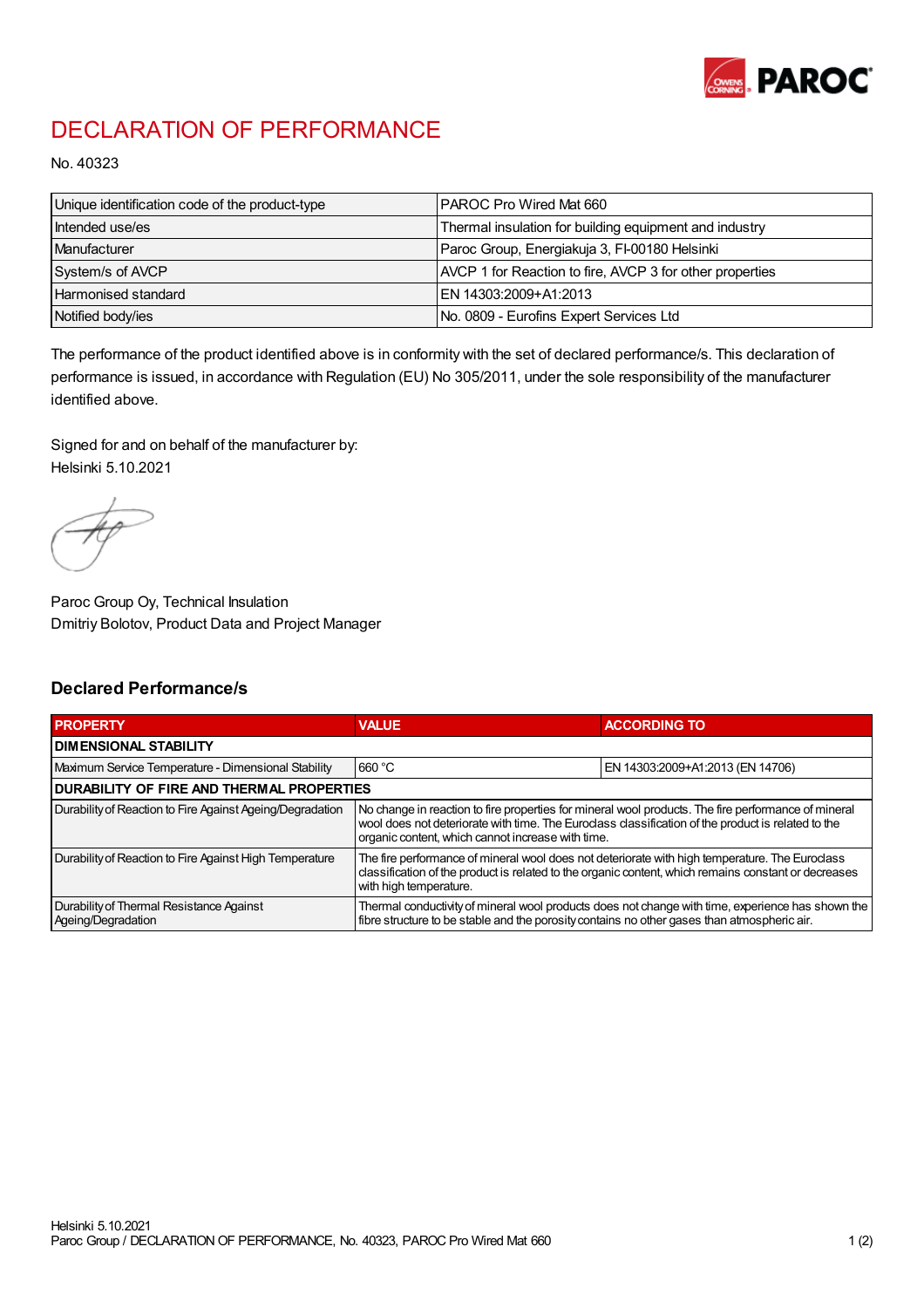

## DECLARATION OF PERFORMANCE

No. 40323

| Unique identification code of the product-type | IPAROC Pro Wired Mat 660                                 |
|------------------------------------------------|----------------------------------------------------------|
| Intended use/es                                | Thermal insulation for building equipment and industry   |
| Manufacturer                                   | Paroc Group, Energiakuja 3, FI-00180 Helsinki            |
| System/s of AVCP                               | AVCP 1 for Reaction to fire, AVCP 3 for other properties |
| Harmonised standard                            | IEN 14303:2009+A1:2013                                   |
| Notified body/ies                              | No. 0809 - Eurofins Expert Services Ltd                  |

The performance of the product identified above is in conformity with the set of declared performance/s. This declaration of performance is issued, in accordance with Regulation (EU) No 305/2011, under the sole responsibility of the manufacturer identified above.

Signed for and on behalf of the manufacturer by: Helsinki 5.10.2021

Paroc Group Oy, Technical Insulation Dmitriy Bolotov, Product Data and Project Manager

## Declared Performance/s

| <b>PROPERTY</b>                                                | <b>VALUE</b>                                                                                                                                                                                                                                                   | <b>ACCORDING TO</b>              |  |
|----------------------------------------------------------------|----------------------------------------------------------------------------------------------------------------------------------------------------------------------------------------------------------------------------------------------------------------|----------------------------------|--|
| <b>DIMENSIONAL STABILITY</b>                                   |                                                                                                                                                                                                                                                                |                                  |  |
| Maximum Service Temperature - Dimensional Stability            | 660 °C                                                                                                                                                                                                                                                         | EN 14303:2009+A1:2013 (EN 14706) |  |
| <b>DURABILITY OF FIRE AND THERMAL PROPERTIES</b>               |                                                                                                                                                                                                                                                                |                                  |  |
| Durability of Reaction to Fire Against Ageing/Degradation      | No change in reaction to fire properties for mineral wool products. The fire performance of mineral<br>wool does not deteriorate with time. The Euroclass classification of the product is related to the<br>organic content, which cannot increase with time. |                                  |  |
| Durability of Reaction to Fire Against High Temperature        | The fire performance of mineral wool does not deteriorate with high temperature. The Euroclass<br>classification of the product is related to the organic content, which remains constant or decreases<br>with high temperature.                               |                                  |  |
| Durability of Thermal Resistance Against<br>Ageing/Degradation | Thermal conductivity of mineral wool products does not change with time, experience has shown the<br>fibre structure to be stable and the porosity contains no other gases than atmospheric air.                                                               |                                  |  |